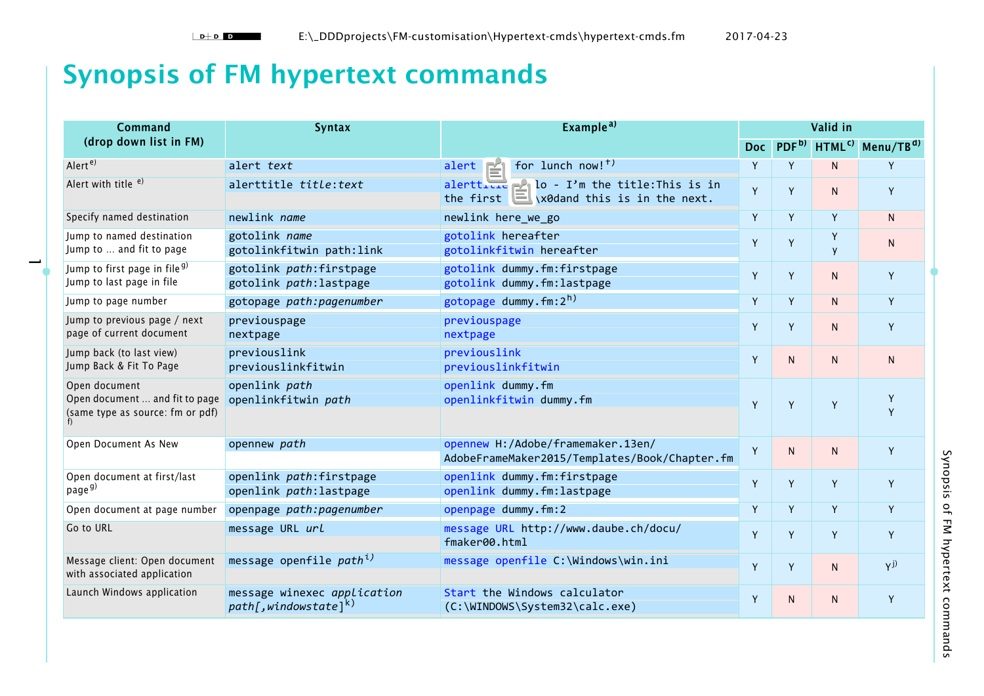## **Synopsis of FM hypertext commands**

 $\overline{\phantom{a}}$ 

| <b>Command</b>                                                                      | <b>Syntax</b>                                                       | Example <sup>a)</sup>                                                                      | Valid in   |                   |                    |                       |
|-------------------------------------------------------------------------------------|---------------------------------------------------------------------|--------------------------------------------------------------------------------------------|------------|-------------------|--------------------|-----------------------|
| (drop down list in FM)                                                              |                                                                     |                                                                                            | <b>Doc</b> | PDF <sup>b)</sup> | HTML <sup>c)</sup> | Menu/TB <sup>d)</sup> |
| Alert <sup>e)</sup>                                                                 | alert text                                                          | alert Time for lunch now! <sup>f)</sup>                                                    | Y          | Y                 | N.                 | Y                     |
| Alert with title <sup>e)</sup>                                                      | alerttitle title: text                                              | alerttitle Hello - I'm the title: This is in<br>the first line\x0dand this is in the next. | Y          | Y                 | N.                 | Y                     |
| Specify named destination                                                           | newlink <i>name</i>                                                 | newlink here_we_go                                                                         | Y          | Y                 | Y                  | N <sub>1</sub>        |
| Jump to named destination<br>Jump to  and fit to page                               | gotolink name<br>gotolinkfitwin path:link                           | gotolink hereafter<br>gotolinkfitwin hereafter                                             | Y          | Y                 | Y<br>y             | N                     |
| Jump to first page in file <sup>g)</sup><br>Jump to last page in file               | gotolink path: firstpage<br>gotolink path: lastpage                 | gotolink dummy.fm:firstpage<br>gotolink dummy.fm:lastpage                                  | Y          | Y                 | $\mathsf{N}$       | Y                     |
| Jump to page number                                                                 | gotopage path: pagenumber                                           | gotopage dummy.fm: $2h$ )                                                                  | Y          | Y                 | N                  | Y                     |
| Jump to previous page / next<br>page of current document                            | previouspage<br>nextpage                                            | previouspage<br>nextpage                                                                   | Y          | Y                 | N.                 | Y                     |
| Jump back (to last view)<br>Jump Back & Fit To Page                                 | previouslink<br>previouslinkfitwin                                  | previouslink<br>previouslinkfitwin                                                         | Y          | N.                | $\mathsf{N}$       | N                     |
| Open document<br>Open document  and fit to page<br>(same type as source: fm or pdf) | openlink path<br>openlinkfitwin path                                | openlink dummy.fm<br>openlinkfitwin dummy.fm                                               | Y          | Y                 | Y                  | Y<br>Y                |
| Open Document As New                                                                | opennew path                                                        | opennew H:/Adobe/framemaker.13en/<br>AdobeFrameMaker2015/Templates/Book/Chapter.fm         | Y          | N.                | $\mathsf{N}$       | Y                     |
| Open document at first/last<br>page <sup>g)</sup>                                   | openlink path:firstpage<br>openlink path: lastpage                  | openlink dummy.fm:firstpage<br>openlink dummy.fm:lastpage                                  | Y          | Y                 | Y                  | Y                     |
| Open document at page number                                                        | openpage path: pagenumber                                           | openpage dummy.fm:2                                                                        | Y          | Y                 | Y                  | Y                     |
| Go to URL                                                                           | message URL url                                                     | message URL http://www.daube.ch/docu/<br>fmaker00.html                                     | Y          | Y                 | Y                  | Y                     |
| Message client: Open document<br>with associated application                        | message openfile path <sup>i)</sup>                                 | message openfile C:\Windows\win.ini                                                        | Y          | Y.                | $\mathsf{N}$       | $Y^{j)}$              |
| Launch Windows application                                                          | message winexec application<br>$path[,$ windows tate] <sup>k)</sup> | Start the Windows calculator<br>(C:\WINDOWS\System32\calc.exe)                             | Y          | N.                | N                  | Y                     |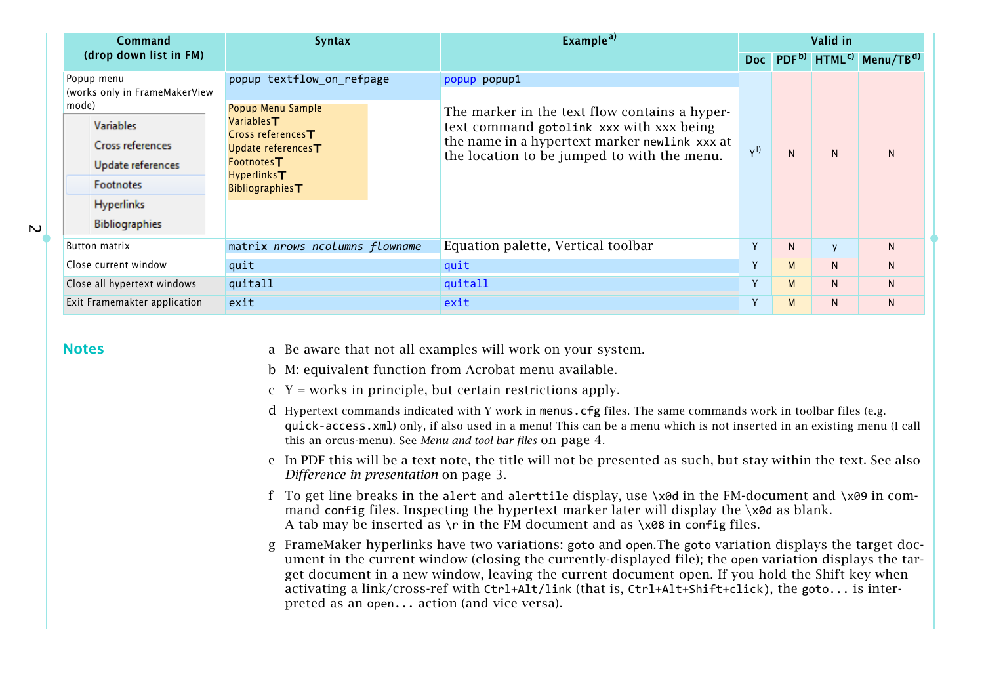<span id="page-1-0"></span>

| Command                                                                                                                              | <b>Syntax</b>                                                                                                                                                                                         | Example <sup>a)</sup>                                                                                                                                                                     |             |   | Valid in     |                                                                |
|--------------------------------------------------------------------------------------------------------------------------------------|-------------------------------------------------------------------------------------------------------------------------------------------------------------------------------------------------------|-------------------------------------------------------------------------------------------------------------------------------------------------------------------------------------------|-------------|---|--------------|----------------------------------------------------------------|
| (drop down list in FM)                                                                                                               |                                                                                                                                                                                                       |                                                                                                                                                                                           |             |   |              | Doc PDF <sup>b)</sup> HTML <sup>c)</sup> Menu/TB <sup>d)</sup> |
| Popup menu<br>(works only in FrameMakerView                                                                                          | popup textflow_on_refpage                                                                                                                                                                             | popup1<br>popup                                                                                                                                                                           |             |   |              |                                                                |
| mode)<br><b>Variables</b><br><b>Cross references</b><br>Update references<br><b>Footnotes</b><br>Hyperlinks<br><b>Bibliographies</b> | Popup Menu Sample<br>Variables ${\boldsymbol{\sf T}}$<br>Cross references $\blacksquare$<br>Update references <sup>T</sup><br>Footnotes ${\mathsf T}$<br>Hyperlinks <b>T</b><br><b>Bibliographies</b> | The marker in the text flow contains a hyper-<br>text command gotolink xxx with xxx being<br>the name in a hypertext marker newlink xxx at<br>the location to be jumped to with the menu. | $Y^{(l)}$   | N | N.           | <sub>N</sub>                                                   |
| Button matrix                                                                                                                        | matrix nrows ncolumns flowname                                                                                                                                                                        | Equation palette, Vertical toolbar                                                                                                                                                        | $\mathbf v$ | N | $\mathsf{V}$ | N.                                                             |
| Close current window                                                                                                                 | quit                                                                                                                                                                                                  | quit                                                                                                                                                                                      | $\vee$      | М | N.           | $\mathsf{N}$                                                   |
| Close all hypertext windows                                                                                                          | quitall                                                                                                                                                                                               | quitall                                                                                                                                                                                   | $\vee$      | M | $\mathsf{N}$ | $\mathsf{N}$                                                   |
| Exit Framemakter application<br>exit                                                                                                 |                                                                                                                                                                                                       | exit                                                                                                                                                                                      | $\mathbf v$ | M | N.           | N.                                                             |

## **Notes**

 $\overline{\mathbf{C}}$ 

- <span id="page-1-2"></span><sup>a</sup> Be aware that not all examples will work on your system.
- <span id="page-1-4"></span>b M: equivalent function from Acrobat menu available.
- <span id="page-1-5"></span> $y = x + y$  = works in principle, but certain restrictions apply.
- <span id="page-1-6"></span>d Hypertext commands indicated with Y work in menus.cfg files. The same commands work in toolbar files (e.g. quick-access.xml) only, if also used in a menu! This can be a menu which is not inserted in an existing menu (I call this an orcus-menu). See *[Menu and tool bar files](#page-3-1)* on page 4.
- <span id="page-1-1"></span><sup>e</sup> In PDF this will be a text note, the title will not be presented as such, but stay within the text. See also *[Difference in presentation](#page-2-5)* on page 3.
- <span id="page-1-3"></span>f To get line breaks in the alert and alerttile display, use \x0d in the FM-document and \x09 in command config files. Inspecting the hypertext marker later will display the  $\lambda$ od as blank. A tab may be inserted as  $\\$  r in the FM document and as  $\x08$  in config files.
- <span id="page-1-7"></span>g FrameMaker hyperlinks have two variations: goto and open.The goto variation displays the target document in the current window (closing the currently-displayed file); the open variation displays the target document in a new window, leaving the current document open. If you hold the Shift key when activating a link/cross-ref with Ctrl+Alt/link (that is, Ctrl+Alt+Shift+click), the goto... is interpreted as an open... action (and vice versa).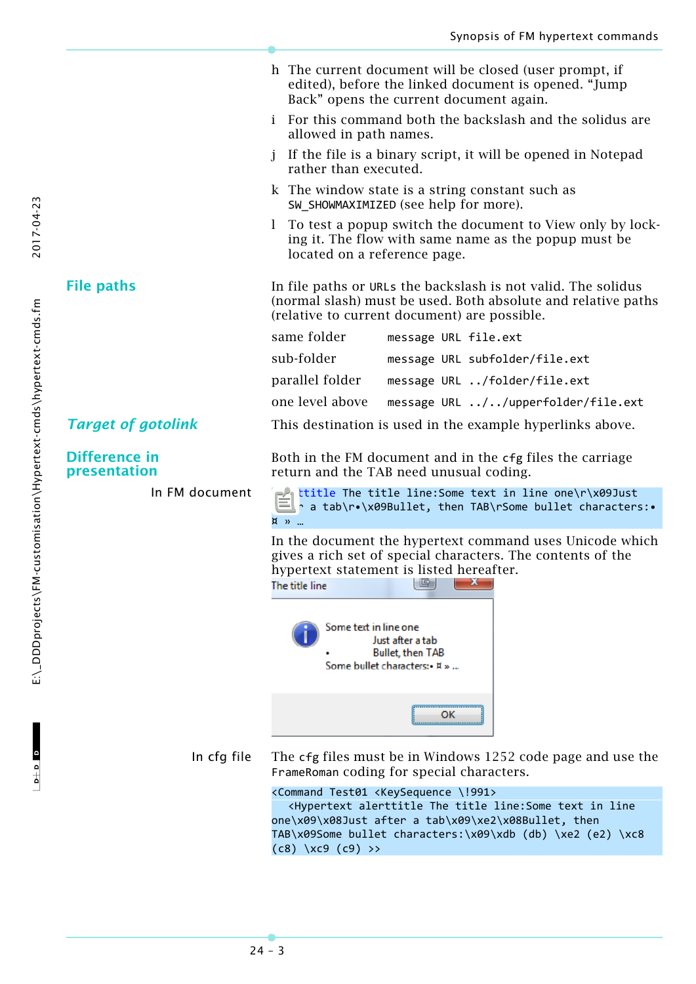<span id="page-2-6"></span><span id="page-2-5"></span><span id="page-2-4"></span><span id="page-2-3"></span><span id="page-2-2"></span><span id="page-2-1"></span><span id="page-2-0"></span>h The current document will be closed (user prompt, if

edited), before the linked document is opened. "Jump Back" opens the current document again. i For this command both the backslash and the solidus are allowed in path names. j If the file is a binary script, it will be opened in Notepad rather than executed. k The window state is a string constant such as SW SHOWMAXIMIZED (see help for more). l To test a popup switch the document to View only by locking it. The flow with same name as the popup must be located on a reference page. **File paths** In file paths or URLs the backslash is not valid. The solidus (normal slash) must be used. Both absolute and relative paths (relative to current document) are possible. same folder message URL file.ext sub-folder message URL subfolder/file.ext parallel folder message URL ../folder/file.ext one level above message URL ../../upperfolder/file.ext *Target of gotolink* This destination is used in the example hyperlinks above. **Difference in**  Both in the FM document and in the cfg files the carriage **presentation** return and the TAB need unusual coding. In FM document alerttitle The title line:Some text in line one\r\x09Just after a tab\r•\x09Bullet, then TAB\rSome bullet characters:• ¤ » … In the document the hypertext command uses Unicode which gives a rich set of special characters. The contents of the hypertext statement is listed hereafter.  $\overline{B}$  $\mathbf{x}$ The title line Some text in line one Just after a tab **Bullet, then TAB** Some bullet characters: •  $\texttt{H} \times \dots$ OK In cfg file The cfg files must be in Windows 1252 code page and use the FrameRoman coding for special characters. <Command Test01 <KeySequence \!991> <Hypertext alerttitle The title line:Some text in line one\x09\x08Just after a tab\x09\xe2\x08Bullet, then TAB\x09Some bullet characters:\x09\xdb (db) \xe2 (e2) \xc8

 $(c8)$   $(xc9 (c9)$  >>

E:\\_DDDprojects\FM-customisation\Hypertext-cmds\hypertext-cmds.fm

 $D + D$   $D$ 

2017-04-23 E:\\_DDDprojects\FM-customisation\Hypertext-cmds\hypertext-cmds.fm 2017-04-23

24 – 3